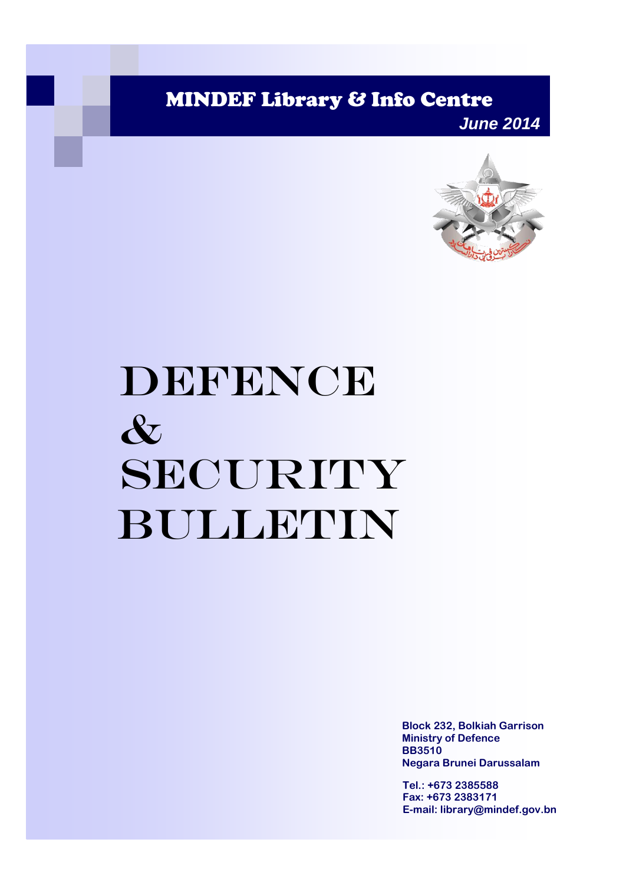MINDEF Library & Info Centre

*June 2014*



# DEFENCE & SECURITY Bulletin

**Block 232, Bolkiah Garrison Ministry of Defence BB3510 Negara Brunei Darussalam**

**Tel.: +673 2385588 Fax: +673 2383171 E-mail: library@mindef.gov.bn**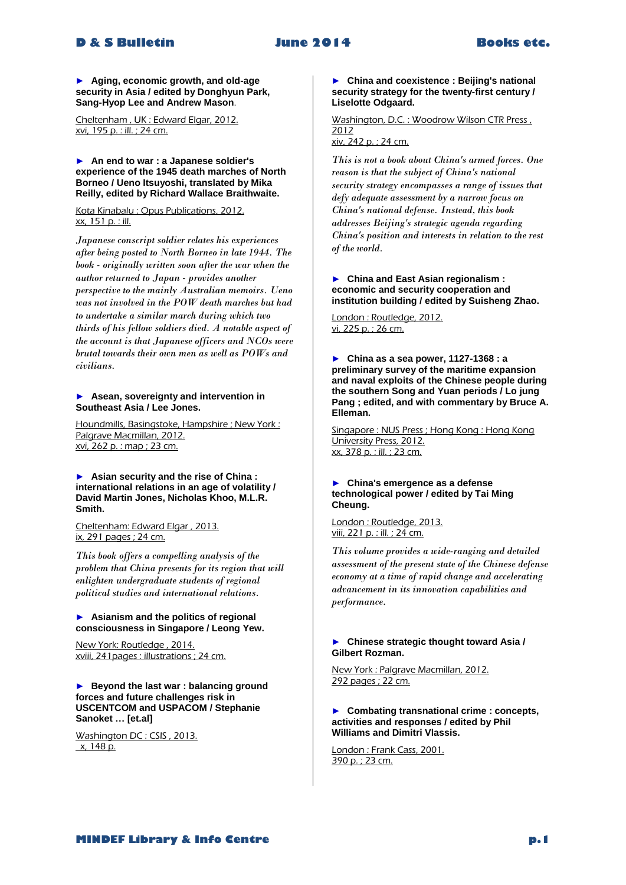# **D & S Bulletin June 2014 Books etc.**

► **Aging, economic growth, and old-age security in Asia / edited by Donghyun Park, Sang-Hyop Lee and Andrew Mason**.

Cheltenham , UK : Edward Elgar, 2012. xvi, 195 p. : ill. ; 24 cm.

► **An end to war : a Japanese soldier's experience of the 1945 death marches of North Borneo / Ueno Itsuyoshi, translated by Mika Reilly, edited by Richard Wallace Braithwaite.**

Kota Kinabalu : Opus Publications, 2012. xx, 151 p. : ill.

*Japanese conscript soldier relates his experiences after being posted to North Borneo in late 1944. The book - originally written soon after the war when the author returned to Japan - provides another perspective to the mainly Australian memoirs. Ueno was not involved in the POW death marches but had to undertake a similar march during which two thirds of his fellow soldiers died. A notable aspect of the account is that Japanese officers and NCOs were brutal towards their own men as well as POWs and civilians.* 

# ► **Asean, sovereignty and intervention in Southeast Asia / Lee Jones.**

Houndmills, Basingstoke, Hampshire ; New York : Palgrave Macmillan, 2012. xvi, 262 p. : map ; 23 cm.

► **Asian security and the rise of China : international relations in an age of volatility / David Martin Jones, Nicholas Khoo, M.L.R. Smith.**

Cheltenham: Edward Elgar , 2013. ix, 291 pages ; 24 cm.

*This book offers a compelling analysis of the problem that China presents for its region that will enlighten undergraduate students of regional political studies and international relations.* 

# ► **Asianism and the politics of regional consciousness in Singapore / Leong Yew.**

New York: Routledge , 2014. xviii, 241pages : illustrations ; 24 cm.

► **Beyond the last war : balancing ground forces and future challenges risk in USCENTCOM and USPACOM / Stephanie Sanoket … [et.al]**

Washington DC : CSIS , 2013. x, 148 p.

► **China and coexistence : Beijing's national security strategy for the twenty-first century / Liselotte Odgaard.**

Washington, D.C. : Woodrow Wilson CTR Press, 2012 xiv, 242 p. ; 24 cm.

*This is not a book about China's armed forces. One reason is that the subject of China's national security strategy encompasses a range of issues that defy adequate assessment by a narrow focus on China's national defense. Instead, this book addresses Beijing's strategic agenda regarding China's position and interests in relation to the rest of the world.* 

#### ► **China and East Asian regionalism : economic and security cooperation and institution building / edited by Suisheng Zhao.**

London : Routledge, 2012. vi, 225 p. ; 26 cm.

► **China as a sea power, 1127-1368 : a preliminary survey of the maritime expansion and naval exploits of the Chinese people during the southern Song and Yuan periods / Lo jung Pang ; edited, and with commentary by Bruce A. Elleman.**

Singapore : NUS Press ; Hong Kong : Hong Kong University Press, 2012. xx, 378 p. : ill. ; 23 cm.

# ► **China's emergence as a defense technological power / edited by Tai Ming Cheung.**

London : Routledge, 2013. viii, 221 p. : ill. ; 24 cm.

*This volume provides a wide-ranging and detailed assessment of the present state of the Chinese defense economy at a time of rapid change and accelerating advancement in its innovation capabilities and performance.* 

# ► **Chinese strategic thought toward Asia / Gilbert Rozman.**

New York : Palgrave Macmillan, 2012. 292 pages ; 22 cm.

# ► **Combating transnational crime : concepts, activities and responses / edited by Phil Williams and Dimitri Vlassis.**

London : Frank Cass, 2001. 390 p. ; 23 cm.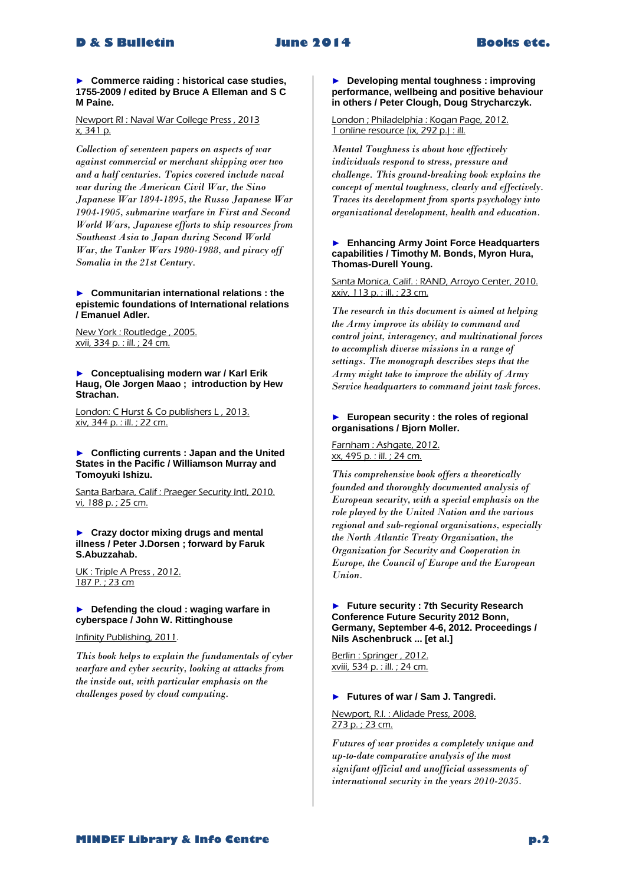► **Commerce raiding : historical case studies, 1755-2009 / edited by Bruce A Elleman and S C M Paine.**

Newport RI : Naval War College Press , 2013 x, 341 p.

*Collection of seventeen papers on aspects of war against commercial or merchant shipping over two and a half centuries. Topics covered include naval war during the American Civil War, the Sino Japanese War 1894-1895, the Russo Japanese War 1904-1905, submarine warfare in First and Second World Wars, Japanese efforts to ship resources from Southeast Asia to Japan during Second World War, the Tanker Wars 1980-1988, and piracy off Somalia in the 21st Century.* 

► **Communitarian international relations : the epistemic foundations of International relations / Emanuel Adler.**

New York : Routledge , 2005. xvii, 334 p. : ill. ; 24 cm.

► **Conceptualising modern war / Karl Erik Haug, Ole Jorgen Maao ; introduction by Hew Strachan.** 

London: C Hurst & Co publishers L, 2013. xiv, 344 p. : ill. ; 22 cm.

► **Conflicting currents : Japan and the United States in the Pacific / Williamson Murray and Tomoyuki Ishizu.**

Santa Barbara, Calif : Praeger Security Intl, 2010. vi, 188 p. ; 25 cm.

► **Crazy doctor mixing drugs and mental illness / Peter J.Dorsen ; forward by Faruk S.Abuzzahab.**

UK : Triple A Press , 2012. 187 P. ; 23 cm

► **Defending the cloud : waging warfare in cyberspace / John W. Rittinghouse**

Infinity Publishing, 2011.

*This book helps to explain the fundamentals of cyber warfare and cyber security, looking at attacks from the inside out, with particular emphasis on the challenges posed by cloud computing.*

► **Developing mental toughness : improving performance, wellbeing and positive behaviour in others / Peter Clough, Doug Strycharczyk.**

London ; Philadelphia : Kogan Page, 2012. 1 online resource (ix, 292 p.) : ill.

*Mental Toughness is about how effectively individuals respond to stress, pressure and challenge. This ground-breaking book explains the concept of mental toughness, clearly and effectively. Traces its development from sports psychology into organizational development, health and education.* 

### ► **Enhancing Army Joint Force Headquarters capabilities / Timothy M. Bonds, Myron Hura, Thomas-Durell Young.**

Santa Monica, Calif. : RAND, Arroyo Center, 2010. xxiv, 113 p. : ill. ; 23 cm.

*The research in this document is aimed at helping the Army improve its ability to command and control joint, interagency, and multinational forces to accomplish diverse missions in a range of settings. The monograph describes steps that the Army might take to improve the ability of Army Service headquarters to command joint task forces.* 

# ► **European security : the roles of regional organisations / Bjorn Moller.**

Farnham : Ashgate, 2012. xx, 495 p. : ill. ; 24 cm.

*This comprehensive book offers a theoretically founded and thoroughly documented analysis of European security, with a special emphasis on the role played by the United Nation and the various regional and sub-regional organisations, especially the North Atlantic Treaty Organization, the Organization for Security and Cooperation in Europe, the Council of Europe and the European Union.* 

# ► **Future security : 7th Security Research Conference Future Security 2012 Bonn, Germany, September 4-6, 2012. Proceedings / Nils Aschenbruck ... [et al.]**

Berlin : Springer , 2012. xviii, 534 p. : ill. ; 24 cm.

# ► **Futures of war / Sam J. Tangredi.**

Newport, R.I. : Alidade Press, 2008. 273 p. ; 23 cm.

*Futures of war provides a completely unique and up-to-date comparative analysis of the most signifant official and unofficial assessments of international security in the years 2010-2035.*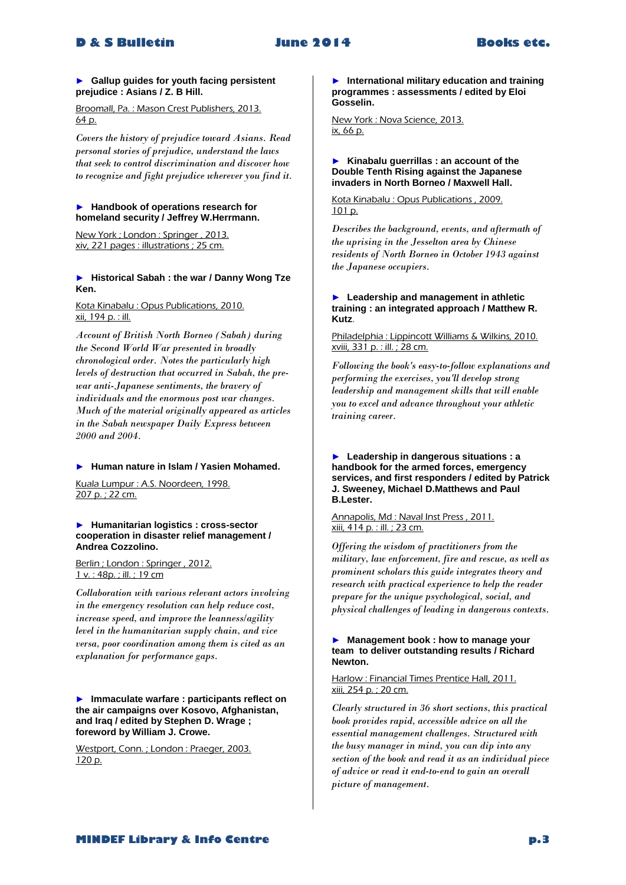# ► **Gallup guides for youth facing persistent prejudice : Asians / Z. B Hill.**

Broomall, Pa. : Mason Crest Publishers, 2013. 64 p.

*Covers the history of prejudice toward Asians. Read personal stories of prejudice, understand the laws that seek to control discrimination and discover how to recognize and fight prejudice wherever you find it.* 

## ► **Handbook of operations research for homeland security / Jeffrey W.Herrmann.**

New York ; London : Springer , 2013. xiv, 221 pages : illustrations ; 25 cm.

# ► **Historical Sabah : the war / Danny Wong Tze Ken.**

Kota Kinabalu : Opus Publications, 2010. xii, 194 p. : ill.

*Account of British North Borneo (Sabah) during the Second World War presented in broadly chronological order. Notes the particularly high levels of destruction that occurred in Sabah, the prewar anti-Japanese sentiments, the bravery of individuals and the enormous post war changes. Much of the material originally appeared as articles in the Sabah newspaper Daily Express between 2000 and 2004.* 

# ► **Human nature in Islam / Yasien Mohamed.**

Kuala Lumpur : A.S. Noordeen, 1998. 207 p. ; 22 cm.

► **Humanitarian logistics : cross-sector cooperation in disaster relief management / Andrea Cozzolino.**

Berlin ; London : Springer , 2012. 1 v. : 48p. ; ill. ; 19 cm

*Collaboration with various relevant actors involving in the emergency resolution can help reduce cost, increase speed, and improve the leanness/agility level in the humanitarian supply chain, and vice versa, poor coordination among them is cited as an explanation for performance gaps.* 

► **Immaculate warfare : participants reflect on the air campaigns over Kosovo, Afghanistan, and Iraq / edited by Stephen D. Wrage ; foreword by William J. Crowe.**

Westport, Conn. ; London : Praeger, 2003. 120 p.

► **International military education and training programmes : assessments / edited by Eloi Gosselin.**

New York : Nova Science, 2013. ix, 66 p.

### ► **Kinabalu guerrillas : an account of the Double Tenth Rising against the Japanese invaders in North Borneo / Maxwell Hall.**

Kota Kinabalu : Opus Publications , 2009. 101 p.

*Describes the background, events, and aftermath of the uprising in the Jesselton area by Chinese residents of North Borneo in October 1943 against the Japanese occupiers.* 

# ► **Leadership and management in athletic training : an integrated approach / Matthew R. Kutz**.

Philadelphia : Lippincott Williams & Wilkins, 2010. xviii, 331 p. : ill. ; 28 cm.

*Following the book's easy-to-follow explanations and performing the exercises, you'll develop strong leadership and management skills that will enable you to excel and advance throughout your athletic training career.* 

# ► **Leadership in dangerous situations : a handbook for the armed forces, emergency services, and first responders / edited by Patrick J. Sweeney, Michael D.Matthews and Paul B.Lester.**

# Annapolis, Md : Naval Inst Press , 2011. xiii, 414 p. : ill. ; 23 cm.

*Offering the wisdom of practitioners from the military, law enforcement, fire and rescue, as well as prominent scholars this guide integrates theory and research with practical experience to help the reader prepare for the unique psychological, social, and physical challenges of leading in dangerous contexts.* 

# ► **Management book : how to manage your team to deliver outstanding results / Richard Newton.**

Harlow : Financial Times Prentice Hall, 2011. xiii, 254 p. ; 20 cm.

*Clearly structured in 36 short sections, this practical book provides rapid, accessible advice on all the essential management challenges. Structured with the busy manager in mind, you can dip into any section of the book and read it as an individual piece of advice or read it end-to-end to gain an overall picture of management.*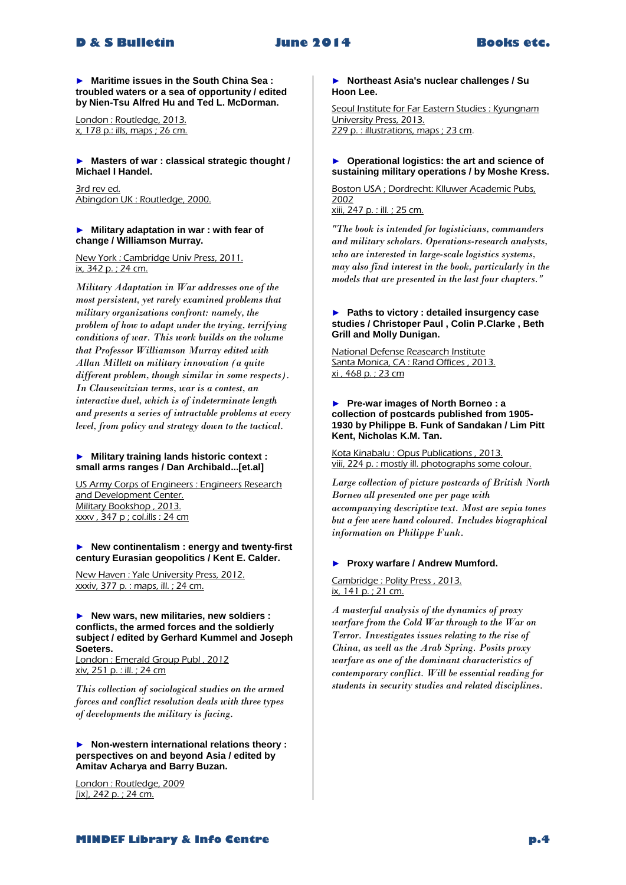► **Maritime issues in the South China Sea : troubled waters or a sea of opportunity / edited by Nien-Tsu Alfred Hu and Ted L. McDorman.**

London : Routledge, 2013. x, 178 p.: ills, maps ; 26 cm.

► **Masters of war : classical strategic thought / Michael I Handel.**

3rd rev ed. Abingdon UK : Routledge, 2000.

# ► **Military adaptation in war : with fear of change / Williamson Murray.**

New York : Cambridge Univ Press, 2011. ix, 342 p. ; 24 cm.

*Military Adaptation in War addresses one of the most persistent, yet rarely examined problems that military organizations confront: namely, the problem of how to adapt under the trying, terrifying conditions of war. This work builds on the volume that Professor Williamson Murray edited with Allan Millett on military innovation (a quite different problem, though similar in some respects). In Clausewitzian terms, war is a contest, an interactive duel, which is of indeterminate length and presents a series of intractable problems at every level, from policy and strategy down to the tactical.* 

# ► **Military training lands historic context : small arms ranges / Dan Archibald...[et.al]**

US Army Corps of Engineers : Engineers Research and Development Center. Military Bookshop , 2013. xxxv , 347 p ; col.ills : 24 cm

# ► **New continentalism : energy and twenty-first century Eurasian geopolitics / Kent E. Calder.**

New Haven : Yale University Press, 2012. xxxiv, 377 p. : maps, ill. ; 24 cm.

## ► **New wars, new militaries, new soldiers : conflicts, the armed forces and the soldierly subject / edited by Gerhard Kummel and Joseph Soeters.**

London : Emerald Group Publ , 2012 xiv, 251 p. : ill. ; 24 cm

*This collection of sociological studies on the armed forces and conflict resolution deals with three types of developments the military is facing.* 

► **Non-western international relations theory : perspectives on and beyond Asia / edited by Amitav Acharya and Barry Buzan.**

London : Routledge, 2009 [ix], 242 p. ; 24 cm.

► **Northeast Asia's nuclear challenges / Su Hoon Lee.**

Seoul Institute for Far Eastern Studies : Kyungnam University Press, 2013. 229 p. : illustrations, maps ; 23 cm.

# ► **Operational logistics: the art and science of sustaining military operations / by Moshe Kress.**

Boston USA ; Dordrecht: Klluwer Academic Pubs, 2002 xiii, 247 p. : ill. ; 25 cm.

*"The book is intended for logisticians, commanders and military scholars. Operations-research analysts, who are interested in large-scale logistics systems, may also find interest in the book, particularly in the models that are presented in the last four chapters."* 

# ► **Paths to victory : detailed insurgency case studies / Christoper Paul , Colin P.Clarke , Beth Grill and Molly Dunigan.**

National Defense Reasearch Institute Santa Monica, CA : Rand Offices, 2013. xi , 468 p. ; 23 cm

► **Pre-war images of North Borneo : a collection of postcards published from 1905- 1930 by Philippe B. Funk of Sandakan / Lim Pitt Kent, Nicholas K.M. Tan.**

Kota Kinabalu : Opus Publications , 2013. viii, 224 p. : mostly ill. photographs some colour.

*Large collection of picture postcards of British North Borneo all presented one per page with accompanying descriptive text. Most are sepia tones but a few were hand coloured. Includes biographical information on Philippe Funk.* 

# ► **Proxy warfare / Andrew Mumford.**

Cambridge : Polity Press , 2013. ix, 141 p. ; 21 cm.

*A masterful analysis of the dynamics of proxy warfare from the Cold War through to the War on Terror. Investigates issues relating to the rise of China, as well as the Arab Spring. Posits proxy warfare as one of the dominant characteristics of contemporary conflict. Will be essential reading for students in security studies and related disciplines.*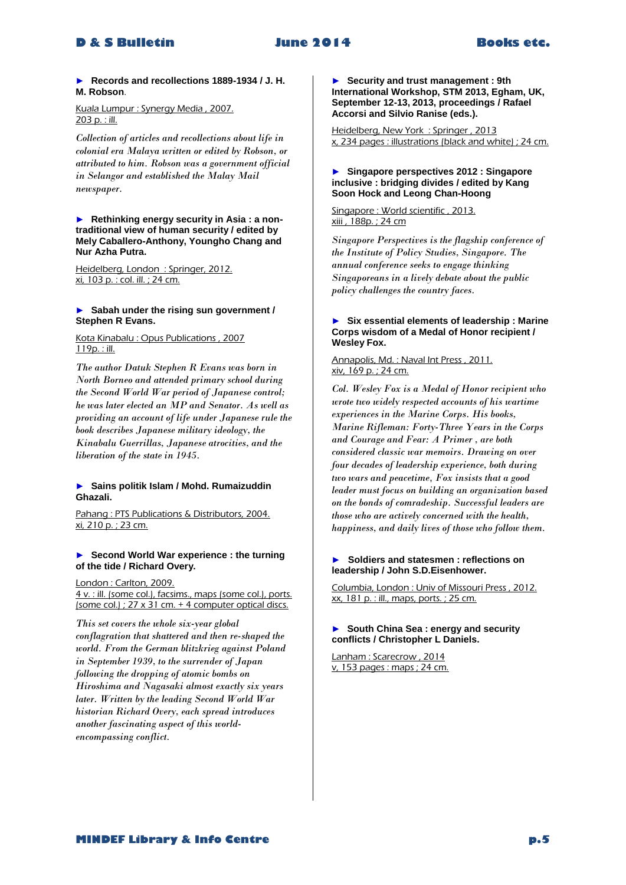# **D & S Bulletin June 2014 Books etc.**

# ► **Records and recollections 1889-1934 / J. H. M. Robson**.

# Kuala Lumpur : Synergy Media , 2007. 203 p. : ill.

*Collection of articles and recollections about life in colonial era Malaya written or edited by Robson, or attributed to him. Robson was a government official in Selangor and established the Malay Mail newspaper.* 

► **Rethinking energy security in Asia : a nontraditional view of human security / edited by Mely Caballero-Anthony, Youngho Chang and Nur Azha Putra.**

Heidelberg, London : Springer, 2012. xi, 103 p. : col. ill. ; 24 cm.

#### ► **Sabah under the rising sun government / Stephen R Evans.**

Kota Kinabalu : Opus Publications , 2007 119p. : ill.

*The author Datuk Stephen R Evans was born in North Borneo and attended primary school during the Second World War period of Japanese control; he was later elected an MP and Senator. As well as providing an account of life under Japanese rule the book describes Japanese military ideology, the Kinabalu Guerrillas, Japanese atrocities, and the liberation of the state in 1945.* 

# ► **Sains politik Islam / Mohd. Rumaizuddin Ghazali.**

Pahang : PTS Publications & Distributors, 2004. xi, 210 p. ; 23 cm.

# ► **Second World War experience : the turning of the tide / Richard Overy.**

London : Carlton, 2009. 4 v. : ill. (some col.), facsims., maps (some col.), ports. (some col.) ;  $27 \times 31$  cm. + 4 computer optical discs.

*This set covers the whole six-year global conflagration that shattered and then re-shaped the world. From the German blitzkrieg against Poland in September 1939, to the surrender of Japan following the dropping of atomic bombs on Hiroshima and Nagasaki almost exactly six years later. Written by the leading Second World War historian Richard Overy, each spread introduces another fascinating aspect of this worldencompassing conflict.* 

► **Security and trust management : 9th International Workshop, STM 2013, Egham, UK, September 12-13, 2013, proceedings / Rafael Accorsi and Silvio Ranise (eds.).**

Heidelberg, New York : Springer , 2013 x, 234 pages : illustrations (black and white) ; 24 cm.

# ► **Singapore perspectives 2012 : Singapore inclusive : bridging divides / edited by Kang Soon Hock and Leong Chan-Hoong**

Singapore : World scientific , 2013. xiii , 188p. ; 24 cm

*Singapore Perspectives is the flagship conference of the Institute of Policy Studies, Singapore. The annual conference seeks to engage thinking Singaporeans in a lively debate about the public policy challenges the country faces.* 

# ► **Six essential elements of leadership : Marine Corps wisdom of a Medal of Honor recipient / Wesley Fox.**

#### Annapolis, Md. : Naval Int Press , 2011. xiv, 169 p. ; 24 cm.

*Col. Wesley Fox is a Medal of Honor recipient who wrote two widely respected accounts of his wartime experiences in the Marine Corps. His books, Marine Rifleman: Forty-Three Years in the Corps and Courage and Fear: A Primer , are both considered classic war memoirs. Drawing on over four decades of leadership experience, both during two wars and peacetime*, *Fox insists that a good leader must focus on building an organization based on the bonds of comradeship. Successful leaders are those who are actively concerned with the health, happiness, and daily lives of those who follow them.*

# ► **Soldiers and statesmen : reflections on leadership / John S.D.Eisenhower.**

Columbia, London : Univ of Missouri Press , 2012. xx, 181 p. : ill., maps, ports. ; 25 cm.

# ► **South China Sea : energy and security conflicts / Christopher L Daniels.**

Lanham : Scarecrow , 2014 v, 153 pages : maps ; 24 cm.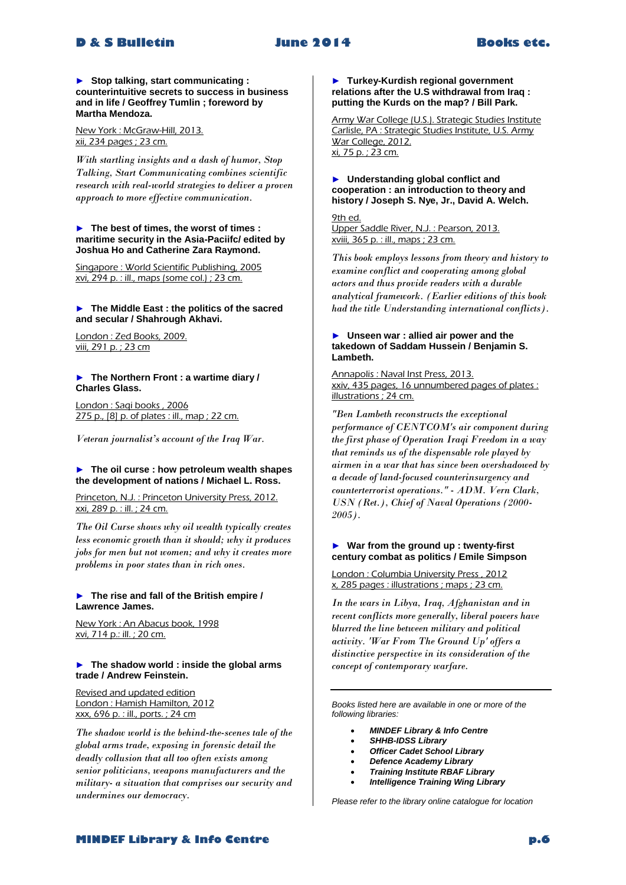# **D & S Bulletin June 2014 Books etc.**

► **Stop talking, start communicating : counterintuitive secrets to success in business and in life / Geoffrey Tumlin ; foreword by Martha Mendoza.**

New York : McGraw-Hill, 2013. xii, 234 pages ; 23 cm.

*With startling insights and a dash of humor, Stop Talking, Start Communicating combines scientific research with real-world strategies to deliver a proven approach to more effective communication.* 

#### ► **The best of times, the worst of times : maritime security in the Asia-Paciifc/ edited by Joshua Ho and Catherine Zara Raymond.**

Singapore : World Scientific Publishing, 2005 xvi, 294 p. : ill., maps (some col.) ; 23 cm.

# ► **The Middle East : the politics of the sacred and secular / Shahrough Akhavi.**

London : Zed Books, 2009. viii, 291 p. ; 23 cm

#### ► **The Northern Front : a wartime diary / Charles Glass.**

London : Saqi books , 2006 275 p., [8] p. of plates : ill., map ; 22 cm.

*Veteran journalist's account of the Iraq War.*

# ► **The oil curse : how petroleum wealth shapes the development of nations / Michael L. Ross.**

Princeton, N.J. : Princeton University Press, 2012. xxi, 289 p. : ill. ; 24 cm.

*The Oil Curse shows why oil wealth typically creates less economic growth than it should; why it produces jobs for men but not women; and why it creates more problems in poor states than in rich ones.* 

# ► **The rise and fall of the British empire / Lawrence James.**

New York : An Abacus book, 1998 xvi, 714 p.: ill. ; 20 cm.

# ► **The shadow world : inside the global arms trade / Andrew Feinstein.**

Revised and updated edition London : Hamish Hamilton, 2012 xxx, 696 p. : ill., ports. ; 24 cm

*The shadow world is the behind-the-scenes tale of the global arms trade, exposing in forensic detail the deadly collusion that all too often exists among senior politicians, weapons manufacturers and the military- a situation that comprises our security and undermines our democracy.* 

► **Turkey-Kurdish regional government relations after the U.S withdrawal from Iraq : putting the Kurds on the map? / Bill Park.**

Army War College (U.S.). Strategic Studies Institute Carlisle, PA : Strategic Studies Institute, U.S. Army War College, 2012. xi, 75 p. ; 23 cm.

# ► **Understanding global conflict and cooperation : an introduction to theory and history / Joseph S. Nye, Jr., David A. Welch.**

9th ed. Upper Saddle River, N.J. : Pearson, 2013. xviii, 365 p. : ill., maps ; 23 cm.

*This book employs lessons from theory and history to examine conflict and cooperating among global actors and thus provide readers with a durable analytical framework. (Earlier editions of this book had the title Understanding international conflicts).*

# ► **Unseen war : allied air power and the takedown of Saddam Hussein / Benjamin S. Lambeth.**

Annapolis : Naval Inst Press, 2013. xxiv, 435 pages, 16 unnumbered pages of plates : illustrations ; 24 cm.

*"Ben Lambeth reconstructs the exceptional performance of CENTCOM's air component during the first phase of Operation Iraqi Freedom in a way that reminds us of the dispensable role played by airmen in a war that has since been overshadowed by a decade of land-focused counterinsurgency and counterterrorist operations." - ADM. Vern Clark, USN (Ret.), Chief of Naval Operations (2000- 2005).* 

# ► **War from the ground up : twenty-first century combat as politics / Emile Simpson**

London : Columbia University Press , 2012 x, 285 pages : illustrations ; maps ; 23 cm.

*In the wars in Libya, Iraq, Afghanistan and in recent conflicts more generally, liberal powers have blurred the line between military and political activity. 'War From The Ground Up' offers a distinctive perspective in its consideration of the concept of contemporary warfare.* 

*Books listed here are available in one or more of the following libraries:*

- *MINDEF Library & Info Centre*
- *SHHB-IDSS Library*
- *Officer Cadet School Library*
- *Defence Academy Library*
- *Training Institute RBAF Library*
- *Intelligence Training Wing Library*

*Please refer to the library online catalogue for location*

# **MINDEF Library & Info Centre p.6**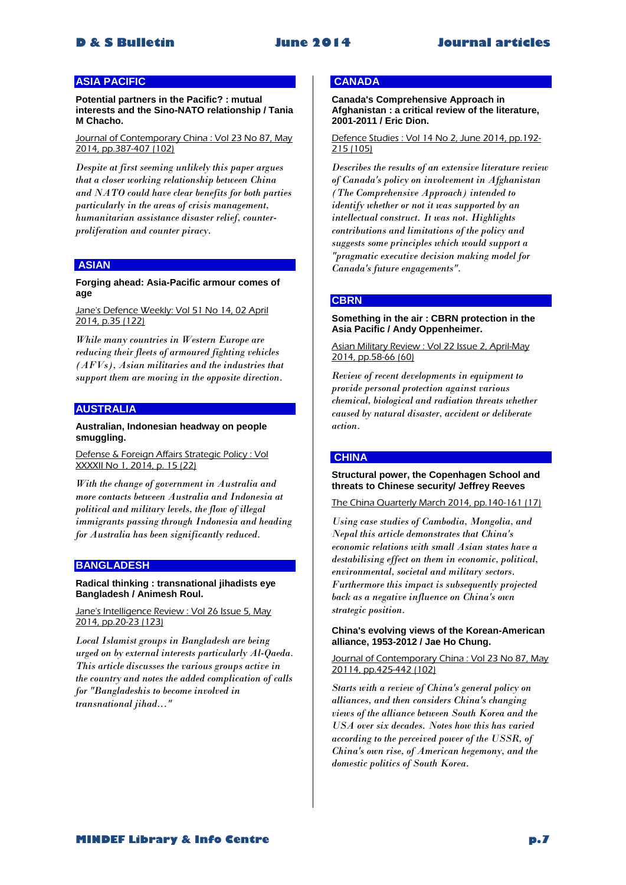# **ASIA PACIFIC**

**Potential partners in the Pacific? : mutual interests and the Sino-NATO relationship / Tania M Chacho.**

Journal of Contemporary China : Vol 23 No 87, May 2014, pp.387-407 (102)

*Despite at first seeming unlikely this paper argues that a closer working relationship between China and NATO could have clear benefits for both parties particularly in the areas of crisis management, humanitarian assistance disaster relief, counterproliferation and counter piracy.* 

# **ASIAN**

# **Forging ahead: Asia-Pacific armour comes of age**

Jane's Defence Weekly: Vol 51 No 14, 02 April 2014, p.35 (122)

*While many countries in Western Europe are reducing their fleets of armoured fighting vehicles (AFVs), Asian militaries and the industries that support them are moving in the opposite direction.* 

# **AUSTRALIA**

# **Australian, Indonesian headway on people smuggling.**

Defense & Foreign Affairs Strategic Policy : Vol XXXXII No 1, 2014, p. 15 (22)

*With the change of government in Australia and more contacts between Australia and Indonesia at political and military levels, the flow of illegal immigrants passing through Indonesia and heading for Australia has been significantly reduced.* 

# **BANGLADESH**

### **Radical thinking : transnational jihadists eye Bangladesh / Animesh Roul.**

Jane's Intelligence Review : Vol 26 Issue 5, May 2014, pp.20-23 (123)

*Local Islamist groups in Bangladesh are being urged on by external interests particularly Al-Qaeda. This article discusses the various groups active in the country and notes the added complication of calls for "Bangladeshis to become involved in transnational jihad..."* 

# **CANADA**

**Canada's Comprehensive Approach in Afghanistan : a critical review of the literature, 2001-2011 / Eric Dion.**

# Defence Studies : Vol 14 No 2, June 2014, pp.192- 215 (105)

*Describes the results of an extensive literature review of Canada's policy on involvement in Afghanistan (The Comprehensive Approach) intended to identify whether or not it was supported by an intellectual construct. It was not. Highlights contributions and limitations of the policy and suggests some principles which would support a "pragmatic executive decision making model for Canada's future engagements".* 

# **CBRN**

# **Something in the air : CBRN protection in the Asia Pacific / Andy Oppenheimer.**

Asian Military Review : Vol 22 Issue 2, April-May 2014, pp.58-66 (60)

*Review of recent developments in equipment to provide personal protection against various chemical, biological and radiation threats whether caused by natural disaster, accident or deliberate action.* 

# **CHINA**

# **Structural power, the Copenhagen School and threats to Chinese security/ Jeffrey Reeves**

The China Quarterly March 2014, pp.140-161 (17)

*Using case studies of Cambodia, Mongolia, and Nepal this article demonstrates that China's economic relations with small Asian states have a destabilising effect on them in economic, political, environmental, societal and military sectors. Furthermore this impact is subsequently projected back as a negative influence on China's own strategic position.*

#### **China's evolving views of the Korean-American alliance, 1953-2012 / Jae Ho Chung.**

Journal of Contemporary China : Vol 23 No 87, May 20114, pp.425-442 (102)

*Starts with a review of China's general policy on alliances, and then considers China's changing views of the alliance between South Korea and the USA over six decades. Notes how this has varied according to the perceived power of the USSR, of China's own rise, of American hegemony, and the domestic politics of South Korea.*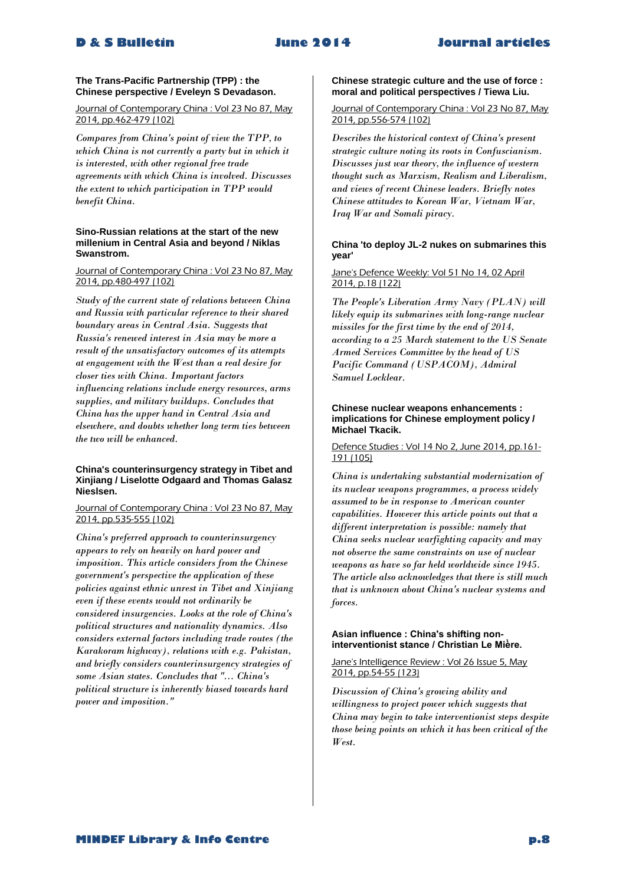# **The Trans-Pacific Partnership (TPP) : the Chinese perspective / Eveleyn S Devadason.**

Journal of Contemporary China : Vol 23 No 87, May 2014, pp.462-479 (102)

*Compares from China's point of view the TPP, to which China is not currently a party but in which it is interested, with other regional free trade agreements with which China is involved. Discusses the extent to which participation in TPP would benefit China.* 

### **Sino-Russian relations at the start of the new millenium in Central Asia and beyond / Niklas Swanstrom.**

## Journal of Contemporary China : Vol 23 No 87, May 2014, pp.480-497 (102)

*Study of the current state of relations between China and Russia with particular reference to their shared boundary areas in Central Asia. Suggests that Russia's renewed interest in Asia may be more a result of the unsatisfactory outcomes of its attempts at engagement with the West than a real desire for closer ties with China. Important factors influencing relations include energy resources, arms supplies, and military buildups. Concludes that China has the upper hand in Central Asia and elsewhere, and doubts whether long term ties between the two will be enhanced.* 

# **China's counterinsurgency strategy in Tibet and Xinjiang / Liselotte Odgaard and Thomas Galasz Nieslsen.**

# Journal of Contemporary China : Vol 23 No 87, May 2014, pp.535-555 (102)

*China's preferred approach to counterinsurgency appears to rely on heavily on hard power and imposition. This article considers from the Chinese government's perspective the application of these policies against ethnic unrest in Tibet and Xinjiang even if these events would not ordinarily be considered insurgencies. Looks at the role of China's political structures and nationality dynamics. Also considers external factors including trade routes (the Karakoram highway), relations with e.g. Pakistan, and briefly considers counterinsurgency strategies of some Asian states. Concludes that "... China's political structure is inherently biased towards hard power and imposition."* 

# **Chinese strategic culture and the use of force : moral and political perspectives / Tiewa Liu.**

# Journal of Contemporary China : Vol 23 No 87, May 2014, pp.556-574 (102)

*Describes the historical context of China's present strategic culture noting its roots in Confuscianism. Discusses just war theory, the influence of western thought such as Marxism, Realism and Liberalism, and views of recent Chinese leaders. Briefly notes Chinese attitudes to Korean War, Vietnam War, Iraq War and Somali piracy.* 

# **China 'to deploy JL-2 nukes on submarines this year'**

# Jane's Defence Weekly: Vol 51 No 14, 02 April 2014, p.18 (122)

*The People's Liberation Army Navy (PLAN) will likely equip its submarines with long-range nuclear missiles for the first time by the end of 2014, according to a 25 March statement to the US Senate Armed Services Committee by the head of US Pacific Command (USPACOM), Admiral Samuel Locklear.* 

# **Chinese nuclear weapons enhancements : implications for Chinese employment policy / Michael Tkacik.**

# Defence Studies : Vol 14 No 2, June 2014, pp.161- 191 (105)

*China is undertaking substantial modernization of its nuclear weapons programmes, a process widely assumed to be in response to American counter capabilities. However this article points out that a different interpretation is possible: namely that China seeks nuclear warfighting capacity and may not observe the same constraints on use of nuclear weapons as have so far held worldwide since 1945. The article also acknowledges that there is still much that is unknown about China's nuclear systems and forces.* 

# Asian influence : China's shifting noninterventionist stance / Christian Le Mière.

# Jane's Intelligence Review : Vol 26 Issue 5, Mav 2014, pp.54-55 (123)

*Discussion of China's growing ability and willingness to project power which suggests that China may begin to take interventionist steps despite those being points on which it has been critical of the West.*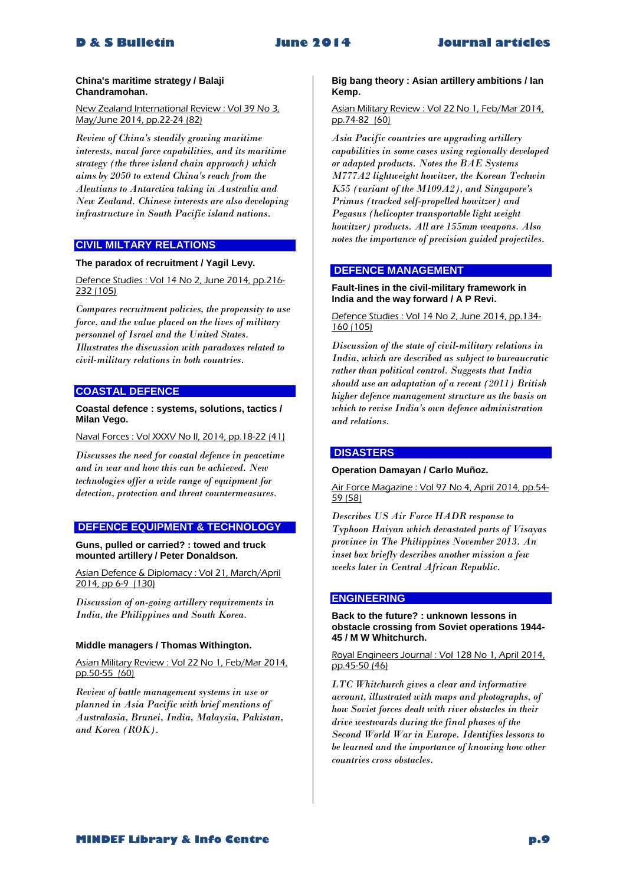#### **China's maritime strategy / Balaji Chandramohan.**

New Zealand International Review : Vol 39 No 3, May/June 2014, pp.22-24 (82)

*Review of China's steadily growing maritime interests, naval force capabilities, and its maritime strategy (the three island chain approach) which aims by 2050 to extend China's reach from the Aleutians to Antarctica taking in Australia and New Zealand. Chinese interests are also developing infrastructure in South Pacific island nations.* 

# **CIVIL MILTARY RELATIONS**

# **The paradox of recruitment / Yagil Levy.**

Defence Studies : Vol 14 No 2, June 2014, pp.216-232 (105)

*Compares recruitment policies, the propensity to use force, and the value placed on the lives of military personnel of Israel and the United States. Illustrates the discussion with paradoxes related to civil-military relations in both countries.* 

# **COASTAL DEFENCE**

# **Coastal defence : systems, solutions, tactics / Milan Vego.**

Naval Forces : Vol XXXV No II, 2014, pp.18-22 (41)

*Discusses the need for coastal defence in peacetime and in war and how this can be achieved. New technologies offer a wide range of equipment for detection, protection and threat countermeasures.* 

# **DEFENCE EQUIPMENT & TECHNOLOGY**

**Guns, pulled or carried? : towed and truck mounted artillery / Peter Donaldson.**

Asian Defence & Diplomacy : Vol 21, March/April 2014, pp 6-9 (130)

*Discussion of on-going artillery requirements in India, the Philippines and South Korea.* 

# **Middle managers / Thomas Withington.**

Asian Military Review : Vol 22 No 1, Feb/Mar 2014, pp.50-55 (60)

*Review of battle management systems in use or planned in Asia Pacific with brief mentions of Australasia, Brunei, India, Malaysia, Pakistan, and Korea (ROK).* 

# **Big bang theory : Asian artillery ambitions / Ian Kemp.**

Asian Military Review : Vol 22 No 1, Feb/Mar 2014, pp.74-82 (60)

*Asia Pacific countries are upgrading artillery capabilities in some cases using regionally developed or adapted products. Notes the BAE Systems M777A2 lightweight howitzer, the Korean Techwin K55 (variant of the M109A2), and Singapore's Primus (tracked self-propelled howitzer) and Pegasus (helicopter transportable light weight howitzer) products. All are 155mm weapons. Also notes the importance of precision guided projectiles.* 

# **DEFENCE MANAGEMENT**

# **Fault-lines in the civil-military framework in India and the way forward / A P Revi.**

Defence Studies : Vol 14 No 2, June 2014, pp.134- 160 (105)

*Discussion of the state of civil-military relations in India, which are described as subject to bureaucratic rather than political control. Suggests that India should use an adaptation of a recent (2011) British higher defence management structure as the basis on which to revise India's own defence administration and relations.* 

# **DISASTERS**

# **Operation Damayan / Carlo Muñoz.**

Air Force Magazine : Vol 97 No 4, April 2014, pp.54- 59 (58)

*Describes US Air Force HADR response to Typhoon Haiyan which devastated parts of Visayas province in The Philippines November 2013. An inset box briefly describes another mission a few weeks later in Central African Republic.* 

# **ENGINEERING**

**Back to the future? : unknown lessons in obstacle crossing from Soviet operations 1944- 45 / M W Whitchurch.**

Royal Engineers Journal : Vol 128 No 1, April 2014, pp.45-50 (46)

*LTC Whitchurch gives a clear and informative account, illustrated with maps and photographs, of how Soviet forces dealt with river obstacles in their drive westwards during the final phases of the Second World War in Europe. Identifies lessons to be learned and the importance of knowing how other countries cross obstacles.*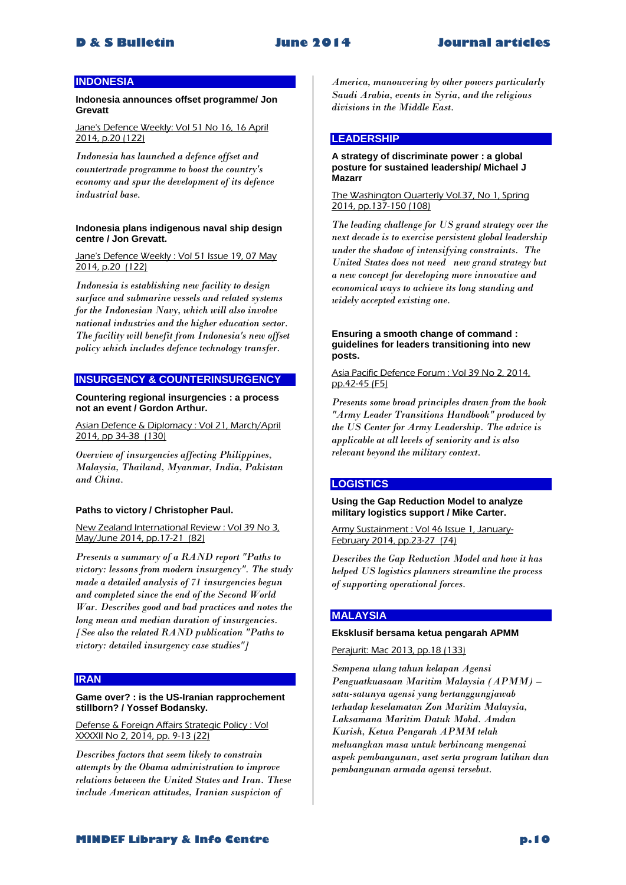# **INDONESIA**

**Indonesia announces offset programme/ Jon Grevatt**

Jane's Defence Weekly: Vol 51 No 16, 16 April 2014, p.20 (122)

*Indonesia has launched a defence offset and countertrade programme to boost the country's economy and spur the development of its defence industrial base.* 

# **Indonesia plans indigenous naval ship design centre / Jon Grevatt.**

Jane's Defence Weekly : Vol 51 Issue 19, 07 May 2014, p.20 (122)

*Indonesia is establishing new facility to design surface and submarine vessels and related systems for the Indonesian Navy, which will also involve national industries and the higher education sector. The facility will benefit from Indonesia's new offset policy which includes defence technology transfer.* 

# **INSURGENCY & COUNTERINSURGENCY**

**Countering regional insurgencies : a process not an event / Gordon Arthur.**

Asian Defence & Diplomacy : Vol 21, March/April 2014, pp 34-38 (130)

*Overview of insurgencies affecting Philippines, Malaysia, Thailand, Myanmar, India, Pakistan and China.* 

# **Paths to victory / Christopher Paul.**

New Zealand International Review : Vol 39 No 3, May/June 2014, pp.17-21 (82)

*Presents a summary of a RAND report "Paths to victory: lessons from modern insurgency". The study made a detailed analysis of 71 insurgencies begun and completed since the end of the Second World War. Describes good and bad practices and notes the long mean and median duration of insurgencies. [See also the related RAND publication "Paths to victory: detailed insurgency case studies"]* 

# **IRAN**

# **Game over? : is the US-Iranian rapprochement stillborn? / Yossef Bodansky.**

Defense & Foreign Affairs Strategic Policy : Vol XXXXII No 2, 2014, pp. 9-13 (22)

*Describes factors that seem likely to constrain attempts by the Obama administration to improve relations between the United States and Iran. These include American attitudes, Iranian suspicion of* 

*America, manouvering by other powers particularly Saudi Arabia, events in Syria, and the religious divisions in the Middle East.* 

# **LEADERSHIP**

#### **A strategy of discriminate power : a global posture for sustained leadership/ Michael J Mazarr**

#### The Washington Quarterly Vol.37, No 1, Spring 2014, pp.137-150 (108)

*The leading challenge for US grand strategy over the next decade is to exercise persistent global leadership under the shadow of intensifying constraints. The United States does not need new grand strategy but a new concept for developing more innovative and economical ways to achieve its long standing and widely accepted existing one.* 

### **Ensuring a smooth change of command : guidelines for leaders transitioning into new posts.**

Asia Pacific Defence Forum : Vol 39 No 2, 2014, pp.42-45 (F5)

*Presents some broad principles drawn from the book "Army Leader Transitions Handbook" produced by the US Center for Army Leadership. The advice is applicable at all levels of seniority and is also relevant beyond the military context.* 

# **LOGISTICS**

#### **Using the Gap Reduction Model to analyze military logistics support / Mike Carter.**

Army Sustainment : Vol 46 Issue 1, January-February 2014, pp.23-27 (74)

*Describes the Gap Reduction Model and how it has helped US logistics planners streamline the process of supporting operational forces.* 

# **MALAYSIA**

#### **Eksklusif bersama ketua pengarah APMM**

Perajurit: Mac 2013, pp.18 (133)

*Sempena ulang tahun kelapan Agensi Penguatkuasaan Maritim Malaysia (APMM) – satu-satunya agensi yang bertanggungjawab terhadap keselamatan Zon Maritim Malaysia, Laksamana Maritim Datuk Mohd. Amdan Kurish, Ketua Pengarah APMM telah meluangkan masa untuk berbincang mengenai aspek pembangunan, aset serta program latihan dan pembangunan armada agensi tersebut.*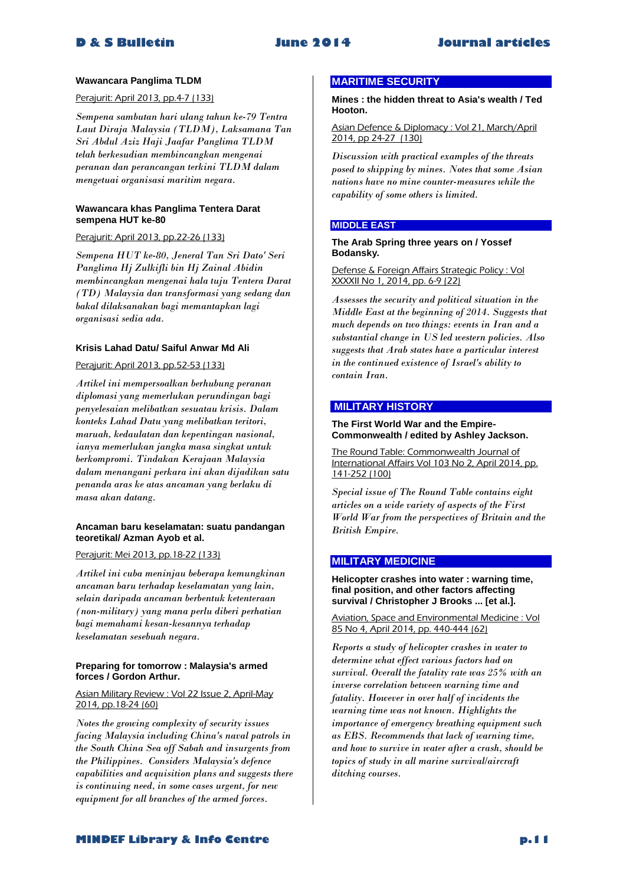# **Wawancara Panglima TLDM**

# Perajurit: April 2013, pp.4-7 (133)

*Sempena sambutan hari ulang tahun ke-79 Tentra Laut Diraja Malaysia (TLDM), Laksamana Tan Sri Abdul Aziz Haji Jaafar Panglima TLDM telah berkesudian membincangkan mengenai peranan dan perancangan terkini TLDM dalam mengetuai organisasi maritim negara.* 

# **Wawancara khas Panglima Tentera Darat sempena HUT ke-80**

Perajurit: April 2013, pp.22-26 (133)

*Sempena HUT ke-80, Jeneral Tan Sri Dato' Seri Panglima Hj Zulkifli bin Hj Zainal Abidin membincangkan mengenai hala tuju Tentera Darat (TD) Malaysia dan transformasi yang sedang dan bakal dilaksanakan bagi memantapkan lagi organisasi sedia ada.* 

# **Krisis Lahad Datu/ Saiful Anwar Md Ali**

Perajurit: April 2013, pp.52-53 (133)

*Artikel ini mempersoalkan berhubung peranan diplomasi yang memerlukan perundingan bagi penyelesaian melibatkan sesuatau krisis. Dalam konteks Lahad Datu yang melibatkan teritori, maruah, kedaulatan dan kepentingan nasional, ianya memerlukan jangka masa singkat untuk berkompromi. Tindakan Kerajaan Malaysia dalam menangani perkara ini akan dijadikan satu penanda aras ke atas ancaman yang berlaku di masa akan datang.* 

# **Ancaman baru keselamatan: suatu pandangan teoretikal/ Azman Ayob et al.**

Perajurit: Mei 2013, pp.18-22 (133)

*Artikel ini cuba meninjau beberapa kemungkinan ancaman baru terhadap keselamatan yang lain, selain daripada ancaman berbentuk ketenteraan (non-military) yang mana perlu diberi perhatian bagi memahami kesan-kesannya terhadap keselamatan sesebuah negara.* 

# **Preparing for tomorrow : Malaysia's armed forces / Gordon Arthur.**

### Asian Military Review : Vol 22 Issue 2, April-May 2014, pp.18-24 (60)

*Notes the growing complexity of security issues facing Malaysia including China's naval patrols in the South China Sea off Sabah and insurgents from the Philippines. Considers Malaysia's defence capabilities and acquisition plans and suggests there is continuing need, in some cases urgent, for new equipment for all branches of the armed forces.* 

# **MARITIME SECURITY**

**Mines : the hidden threat to Asia's wealth / Ted Hooton.**

Asian Defence & Diplomacy : Vol 21, March/April 2014, pp 24-27 (130)

*Discussion with practical examples of the threats posed to shipping by mines. Notes that some Asian nations have no mine counter-measures while the capability of some others is limited.* 

# **MIDDLE EAST**

## **The Arab Spring three years on / Yossef Bodansky.**

Defense & Foreign Affairs Strategic Policy : Vol XXXXII No 1, 2014, pp. 6-9 (22)

*Assesses the security and political situation in the Middle East at the beginning of 2014. Suggests that much depends on two things: events in Iran and a substantial change in US led western policies. Also suggests that Arab states have a particular interest in the continued existence of Israel's ability to contain Iran.* 

# **MILITARY HISTORY**

## **The First World War and the Empire-Commonwealth / edited by Ashley Jackson.**

The Round Table: Commonwealth Journal of International Affairs Vol 103 No 2, April 2014, pp. 141-252 (100)

*Special issue of The Round Table contains eight articles on a wide variety of aspects of the First World War from the perspectives of Britain and the British Empire.* 

# **MILITARY MEDICINE**

**Helicopter crashes into water : warning time, final position, and other factors affecting survival / Christopher J Brooks ... [et al.].**

Aviation, Space and Environmental Medicine : Vol 85 No 4, April 2014, pp. 440-444 (62)

*Reports a study of helicopter crashes in water to determine what effect various factors had on survival. Overall the fatality rate was 25% with an inverse correlation between warning time and fatality. However in over half of incidents the warning time was not known. Highlights the importance of emergency breathing equipment such as EBS. Recommends that lack of warning time, and how to survive in water after a crash, should be topics of study in all marine survival/aircraft ditching courses.*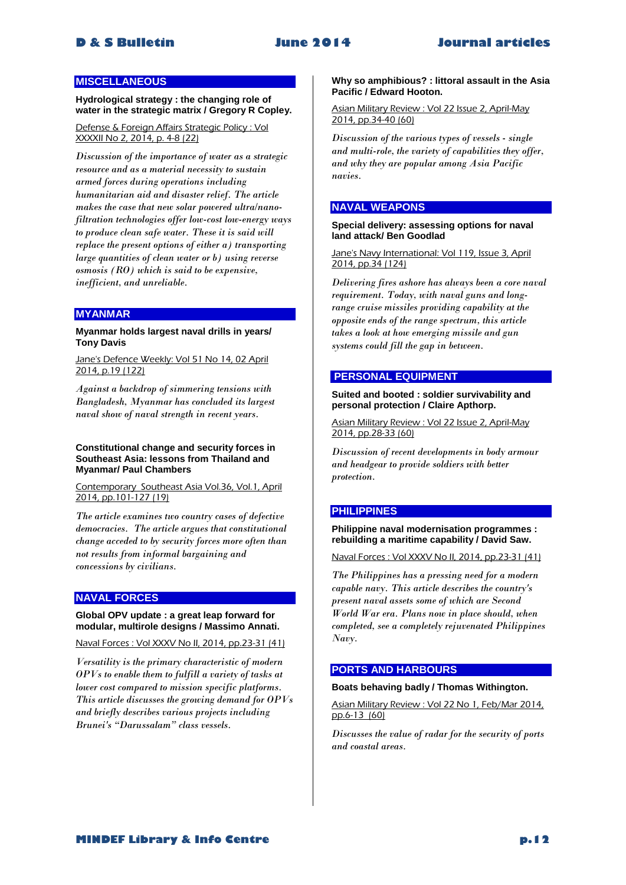# **MISCELLANEOUS**

**Hydrological strategy : the changing role of water in the strategic matrix / Gregory R Copley.**

Defense & Foreign Affairs Strategic Policy : Vol XXXXII No 2, 2014, p. 4-8 (22)

*Discussion of the importance of water as a strategic resource and as a material necessity to sustain armed forces during operations including humanitarian aid and disaster relief. The article makes the case that new solar powered ultra/nanofiltration technologies offer low-cost low-energy ways to produce clean safe water. These it is said will replace the present options of either a) transporting large quantities of clean water or b) using reverse osmosis (RO) which is said to be expensive, inefficient, and unreliable.* 

# **MYANMAR**

# **Myanmar holds largest naval drills in years/ Tony Davis**

Jane's Defence Weekly: Vol 51 No 14, 02 April 2014, p.19 (122)

*Against a backdrop of simmering tensions with Bangladesh, Myanmar has concluded its largest naval show of naval strength in recent years.* 

# **Constitutional change and security forces in Southeast Asia: lessons from Thailand and Myanmar/ Paul Chambers**

Contemporary Southeast Asia Vol.36, Vol.1, April 2014, pp.101-127 (19)

*The article examines two country cases of defective democracies. The article argues that constitutional change acceded to by security forces more often than not results from informal bargaining and concessions by civilians.* 

# **NAVAL FORCES**

# **Global OPV update : a great leap forward for modular, multirole designs / Massimo Annati.**

Naval Forces : Vol XXXV No II, 2014, pp.23-31 (41)

*Versatility is the primary characteristic of modern OPVs to enable them to fulfill a variety of tasks at lower cost compared to mission specific platforms. This article discusses the growing demand for OPVs and briefly describes various projects including Brunei's "Darussalam" class vessels.* 

**Why so amphibious? : littoral assault in the Asia Pacific / Edward Hooton.**

Asian Military Review : Vol 22 Issue 2, April-May 2014, pp.34-40 (60)

*Discussion of the various types of vessels - single and multi-role, the variety of capabilities they offer, and why they are popular among Asia Pacific navies.* 

# **NAVAL WEAPONS**

**Special delivery: assessing options for naval land attack/ Ben Goodlad**

Jane's Navy International: Vol 119, Issue 3, April 2014, pp.34 (124)

*Delivering fires ashore has always been a core naval requirement. Today, with naval guns and longrange cruise missiles providing capability at the opposite ends of the range spectrum, this article takes a look at how emerging missile and gun systems could fill the gap in between.* 

# **PERSONAL EQUIPMENT**

**Suited and booted : soldier survivability and personal protection / Claire Apthorp.**

Asian Military Review : Vol 22 Issue 2, April-May 2014, pp.28-33 (60)

*Discussion of recent developments in body armour and headgear to provide soldiers with better protection.* 

# **PHILIPPINES**

**Philippine naval modernisation programmes : rebuilding a maritime capability / David Saw.**

Naval Forces : Vol XXXV No II, 2014, pp.23-31 (41)

*The Philippines has a pressing need for a modern capable navy. This article describes the country's present naval assets some of which are Second World War era. Plans now in place should, when completed, see a completely rejuvenated Philippines Navy.* 

# **PORTS AND HARBOURS**

# **Boats behaving badly / Thomas Withington.**

Asian Military Review : Vol 22 No 1, Feb/Mar 2014, pp.6-13 (60)

*Discusses the value of radar for the security of ports and coastal areas.*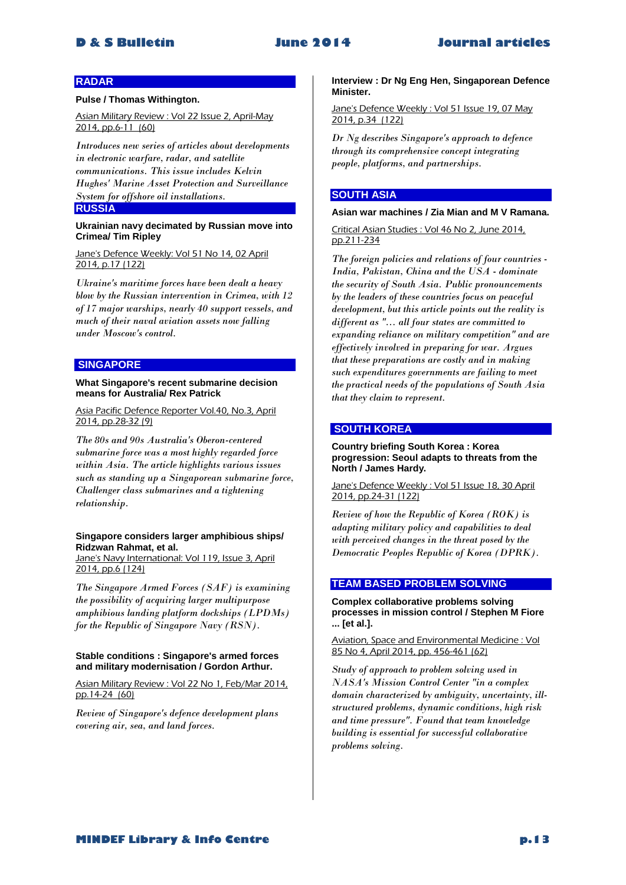# **RADAR**

#### **Pulse / Thomas Withington.**

Asian Military Review : Vol 22 Issue 2, April-May 2014, pp.6-11 (60)

*Introduces new series of articles about developments in electronic warfare, radar, and satellite communications. This issue includes Kelvin Hughes' Marine Asset Protection and Surveillance System for offshore oil installations.* 

# **RUSSIA**

## **Ukrainian navy decimated by Russian move into Crimea/ Tim Ripley**

Jane's Defence Weekly: Vol 51 No 14, 02 April 2014, p.17 (122)

*Ukraine's maritime forces have been dealt a heavy blow by the Russian intervention in Crimea, with 12 of 17 major warships, nearly 40 support vessels, and much of their naval aviation assets now falling under Moscow's control.* 

# **SINGAPORE**

### **What Singapore's recent submarine decision means for Australia/ Rex Patrick**

Asia Pacific Defence Reporter Vol.40, No.3, April 2014, pp.28-32 (9)

*The 80s and 90s Australia's Oberon-centered submarine force was a most highly regarded force within Asia. The article highlights various issues such as standing up a Singaporean submarine force, Challenger class submarines and a tightening relationship.* 

# **Singapore considers larger amphibious ships/ Ridzwan Rahmat, et al.**

Jane's Navy International: Vol 119, Issue 3, April 2014, pp.6 (124)

*The Singapore Armed Forces (SAF) is examining the possibility of acquiring larger multipurpose amphibious landing platform dockships (LPDMs) for the Republic of Singapore Navy (RSN).* 

#### **Stable conditions : Singapore's armed forces and military modernisation / Gordon Arthur.**

Asian Military Review : Vol 22 No 1, Feb/Mar 2014, pp.14-24 (60)

*Review of Singapore's defence development plans covering air, sea, and land forces.* 

**Interview : Dr Ng Eng Hen, Singaporean Defence Minister.**

Jane's Defence Weekly : Vol 51 Issue 19, 07 May 2014, p.34 (122)

*Dr Ng describes Singapore's approach to defence through its comprehensive concept integrating people, platforms, and partnerships.* 

# **SOUTH ASIA**

# **Asian war machines / Zia Mian and M V Ramana.**

Critical Asian Studies : Vol 46 No 2, June 2014, pp.211-234

*The foreign policies and relations of four countries - India, Pakistan, China and the USA - dominate the security of South Asia. Public pronouncements by the leaders of these countries focus on peaceful development, but this article points out the reality is different as "... all four states are committed to expanding reliance on military competition" and are effectively involved in preparing for war. Argues that these preparations are costly and in making such expenditures governments are failing to meet the practical needs of the populations of South Asia that they claim to represent.* 

# **SOUTH KOREA**

**Country briefing South Korea : Korea progression: Seoul adapts to threats from the North / James Hardy.**

Jane's Defence Weekly : Vol 51 Issue 18, 30 April 2014, pp.24-31 (122)

*Review of how the Republic of Korea (ROK) is adapting military policy and capabilities to deal with perceived changes in the threat posed by the Democratic Peoples Republic of Korea (DPRK).* 

# **TEAM BASED PROBLEM SOLVING**

**Complex collaborative problems solving processes in mission control / Stephen M Fiore ... [et al.].**

Aviation, Space and Environmental Medicine : Vol 85 No 4, April 2014, pp. 456-461 (62)

*Study of approach to problem solving used in NASA's Mission Control Center "in a complex domain characterized by ambiguity, uncertainty, illstructured problems, dynamic conditions, high risk and time pressure". Found that team knowledge building is essential for successful collaborative problems solving.*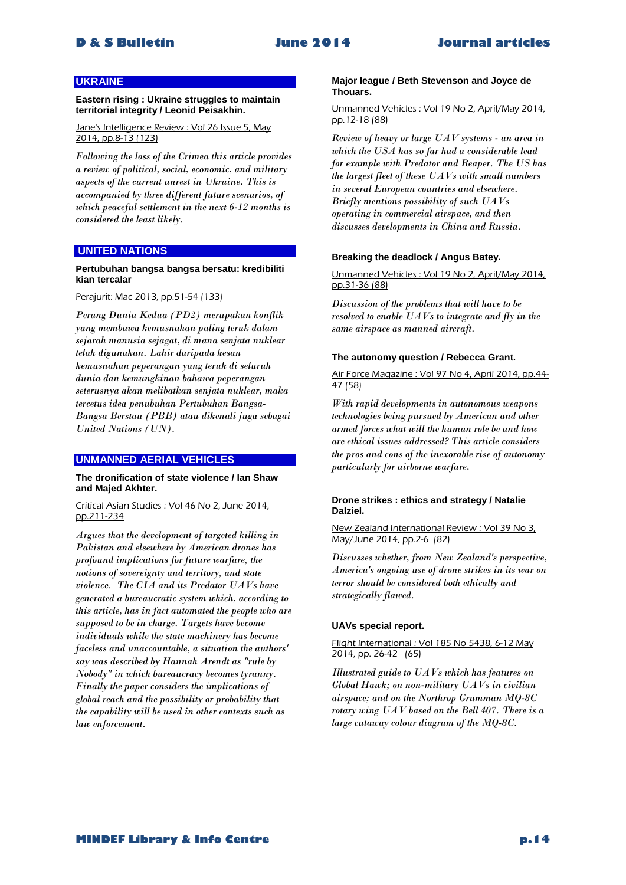# **UKRAINE**

**Eastern rising : Ukraine struggles to maintain territorial integrity / Leonid Peisakhin.**

Jane's Intelligence Review : Vol 26 Issue 5, Mav 2014, pp.8-13 (123)

*Following the loss of the Crimea this article provides a review of political, social, economic, and military aspects of the current unrest in Ukraine. This is accompanied by three different future scenarios, of which peaceful settlement in the next 6-12 months is considered the least likely.* 

# **UNITED NATIONS**

# **Pertubuhan bangsa bangsa bersatu: kredibiliti kian tercalar**

# Perajurit: Mac 2013, pp.51-54 (133)

*Perang Dunia Kedua (PD2) merupakan konflik yang membawa kemusnahan paling teruk dalam sejarah manusia sejagat, di mana senjata nuklear telah digunakan. Lahir daripada kesan kemusnahan peperangan yang teruk di seluruh dunia dan kemungkinan bahawa peperangan seterusnya akan melibatkan senjata nuklear, maka tercetus idea penubuhan Pertubuhan Bangsa-Bangsa Berstau (PBB) atau dikenali juga sebagai United Nations (UN).* 

# **UNMANNED AERIAL VEHICLES**

**The dronification of state violence / Ian Shaw and Majed Akhter.**

Critical Asian Studies : Vol 46 No 2, June 2014, pp.211-234

*Argues that the development of targeted killing in Pakistan and elsewhere by American drones has profound implications for future warfare, the notions of sovereignty and territory, and state violence. The CIA and its Predator UAVs have generated a bureaucratic system which, according to this article, has in fact automated the people who are supposed to be in charge. Targets have become individuals while the state machinery has become faceless and unaccountable, a situation the authors' say was described by Hannah Arendt as "rule by Nobody" in which bureaucracy becomes tyranny. Finally the paper considers the implications of global reach and the possibility or probability that the capability will be used in other contexts such as law enforcement.* 

### **Major league / Beth Stevenson and Joyce de Thouars.**

#### Unmanned Vehicles : Vol 19 No 2, April/May 2014, pp.12-18 (88)

*Review of heavy or large UAV systems - an area in which the USA has so far had a considerable lead for example with Predator and Reaper. The US has the largest fleet of these UAVs with small numbers in several European countries and elsewhere. Briefly mentions possibility of such UAVs operating in commercial airspace, and then discusses developments in China and Russia.* 

### **Breaking the deadlock / Angus Batey.**

Unmanned Vehicles : Vol 19 No 2, April/May 2014, pp.31-36 (88)

*Discussion of the problems that will have to be resolved to enable UAVs to integrate and fly in the same airspace as manned aircraft.* 

#### **The autonomy question / Rebecca Grant.**

Air Force Magazine : Vol 97 No 4, April 2014, pp.44- 47 (58)

*With rapid developments in autonomous weapons technologies being pursued by American and other armed forces what will the human role be and how are ethical issues addressed? This article considers the pros and cons of the inexorable rise of autonomy particularly for airborne warfare.* 

### **Drone strikes : ethics and strategy / Natalie Dalziel.**

New Zealand International Review : Vol 39 No 3, May/June 2014, pp.2-6 (82)

*Discusses whether, from New Zealand's perspective, America's ongoing use of drone strikes in its war on terror should be considered both ethically and strategically flawed.* 

# **UAVs special report.**

# Flight International : Vol 185 No 5438, 6-12 May 2014, pp. 26-42 (65)

*Illustrated guide to UAVs which has features on Global Hawk; on non-military UAVs in civilian airspace; and on the Northrop Grumman MQ-8C rotary wing UAV based on the Bell 407. There is a large cutaway colour diagram of the MQ-8C.*